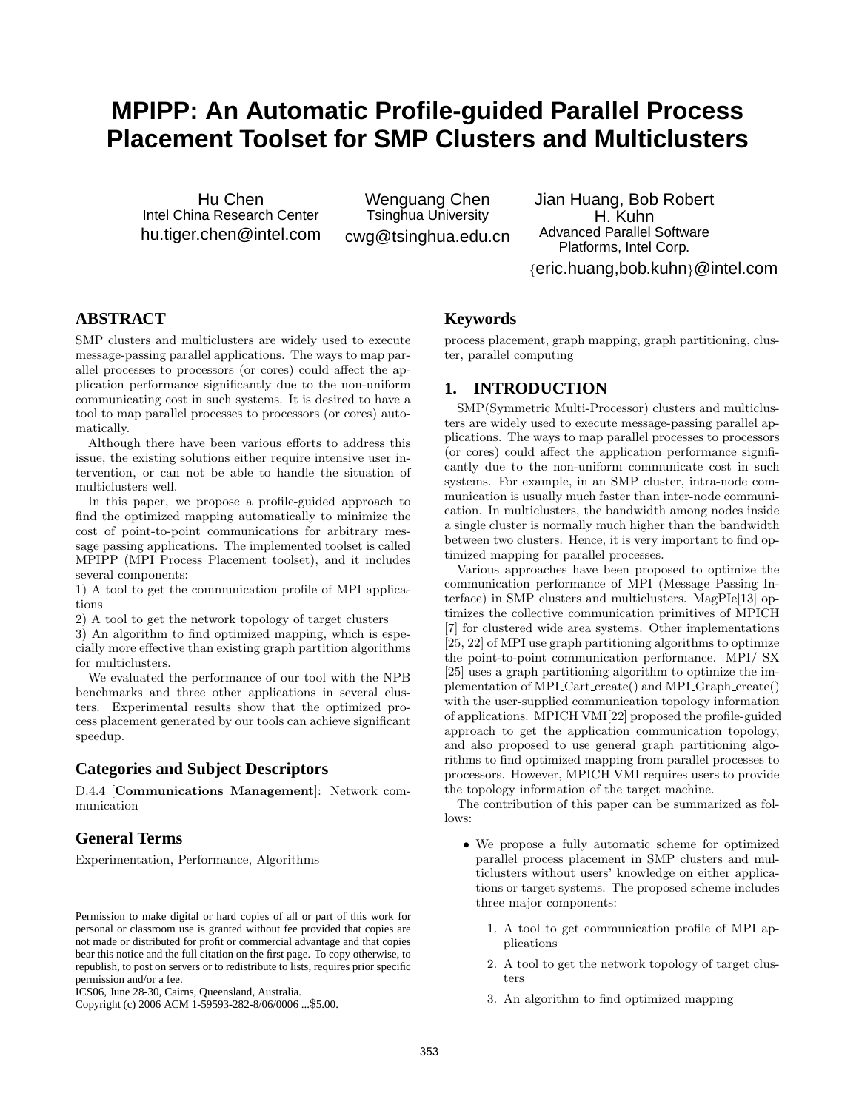# **MPIPP: An Automatic Profile-guided Parallel Process Placement Toolset for SMP Clusters and Multiclusters**

Hu Chen Intel China Research Center hu.tiger.chen@intel.com

Wenguang Chen Tsinghua University cwg@tsinghua.edu.cn

Jian Huang, Bob Robert H. Kuhn Advanced Parallel Software Platforms, Intel Corp. {eric.huang,bob.kuhn}@intel.com

## **ABSTRACT**

SMP clusters and multiclusters are widely used to execute message-passing parallel applications. The ways to map parallel processes to processors (or cores) could affect the application performance significantly due to the non-uniform communicating cost in such systems. It is desired to have a tool to map parallel processes to processors (or cores) automatically.

Although there have been various efforts to address this issue, the existing solutions either require intensive user intervention, or can not be able to handle the situation of multiclusters well.

In this paper, we propose a profile-guided approach to find the optimized mapping automatically to minimize the cost of point-to-point communications for arbitrary message passing applications. The implemented toolset is called MPIPP (MPI Process Placement toolset), and it includes several components:

1) A tool to get the communication profile of MPI applications

2) A tool to get the network topology of target clusters

3) An algorithm to find optimized mapping, which is especially more effective than existing graph partition algorithms for multiclusters.

We evaluated the performance of our tool with the NPB benchmarks and three other applications in several clusters. Experimental results show that the optimized process placement generated by our tools can achieve significant speedup.

# **Categories and Subject Descriptors**

D.4.4 [Communications Management]: Network communication

## **General Terms**

Experimentation, Performance, Algorithms

Copyright (c) 2006 ACM 1-59593-282-8/06/0006 ...\$5.00.

## **Keywords**

process placement, graph mapping, graph partitioning, cluster, parallel computing

## **1. INTRODUCTION**

SMP(Symmetric Multi-Processor) clusters and multiclusters are widely used to execute message-passing parallel applications. The ways to map parallel processes to processors (or cores) could affect the application performance significantly due to the non-uniform communicate cost in such systems. For example, in an SMP cluster, intra-node communication is usually much faster than inter-node communication. In multiclusters, the bandwidth among nodes inside a single cluster is normally much higher than the bandwidth between two clusters. Hence, it is very important to find optimized mapping for parallel processes.

Various approaches have been proposed to optimize the communication performance of MPI (Message Passing Interface) in SMP clusters and multiclusters. MagPIe[13] optimizes the collective communication primitives of MPICH [7] for clustered wide area systems. Other implementations [25, 22] of MPI use graph partitioning algorithms to optimize the point-to-point communication performance. MPI/ SX [25] uses a graph partitioning algorithm to optimize the implementation of MPI Cart create() and MPI Graph create() with the user-supplied communication topology information of applications. MPICH VMI[22] proposed the profile-guided approach to get the application communication topology, and also proposed to use general graph partitioning algorithms to find optimized mapping from parallel processes to processors. However, MPICH VMI requires users to provide the topology information of the target machine.

The contribution of this paper can be summarized as follows:

- We propose a fully automatic scheme for optimized parallel process placement in SMP clusters and multiclusters without users' knowledge on either applications or target systems. The proposed scheme includes three major components:
	- 1. A tool to get communication profile of MPI applications
	- 2. A tool to get the network topology of target clusters
	- 3. An algorithm to find optimized mapping

Permission to make digital or hard copies of all or part of this work for personal or classroom use is granted without fee provided that copies are not made or distributed for profit or commercial advantage and that copies bear this notice and the full citation on the first page. To copy otherwise, to republish, to post on servers or to redistribute to lists, requires prior specific permission and/or a fee.

ICS06, June 28-30, Cairns, Queensland, Australia.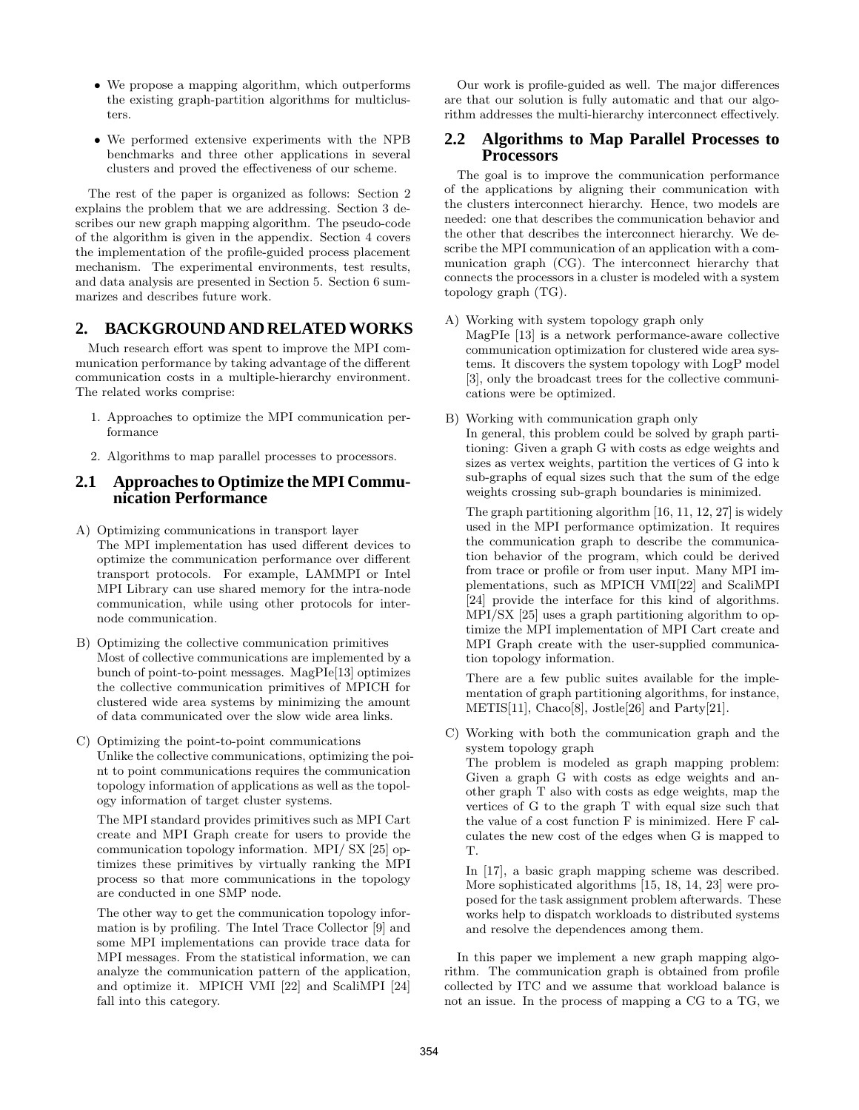- We propose a mapping algorithm, which outperforms the existing graph-partition algorithms for multiclusters.
- We performed extensive experiments with the NPB benchmarks and three other applications in several clusters and proved the effectiveness of our scheme.

The rest of the paper is organized as follows: Section 2 explains the problem that we are addressing. Section 3 describes our new graph mapping algorithm. The pseudo-code of the algorithm is given in the appendix. Section 4 covers the implementation of the profile-guided process placement mechanism. The experimental environments, test results, and data analysis are presented in Section 5. Section 6 summarizes and describes future work.

## **2. BACKGROUND AND RELATED WORKS**

Much research effort was spent to improve the MPI communication performance by taking advantage of the different communication costs in a multiple-hierarchy environment. The related works comprise:

- 1. Approaches to optimize the MPI communication performance
- 2. Algorithms to map parallel processes to processors.

## **2.1 Approaches to Optimize the MPI Communication Performance**

A) Optimizing communications in transport layer The MPI implementation has used different devices to optimize the communication performance over different transport protocols. For example, LAMMPI or Intel MPI Library can use shared memory for the intra-node communication, while using other protocols for inter-

node communication.

- B) Optimizing the collective communication primitives Most of collective communications are implemented by a bunch of point-to-point messages. MagPIe[13] optimizes the collective communication primitives of MPICH for clustered wide area systems by minimizing the amount of data communicated over the slow wide area links.
- C) Optimizing the point-to-point communications Unlike the collective communications, optimizing the point to point communications requires the communication topology information of applications as well as the topology information of target cluster systems.

The MPI standard provides primitives such as MPI Cart create and MPI Graph create for users to provide the communication topology information. MPI/ SX [25] optimizes these primitives by virtually ranking the MPI process so that more communications in the topology are conducted in one SMP node.

The other way to get the communication topology information is by profiling. The Intel Trace Collector [9] and some MPI implementations can provide trace data for MPI messages. From the statistical information, we can analyze the communication pattern of the application, and optimize it. MPICH VMI [22] and ScaliMPI [24] fall into this category.

Our work is profile-guided as well. The major differences are that our solution is fully automatic and that our algorithm addresses the multi-hierarchy interconnect effectively.

## **2.2 Algorithms to Map Parallel Processes to Processors**

The goal is to improve the communication performance of the applications by aligning their communication with the clusters interconnect hierarchy. Hence, two models are needed: one that describes the communication behavior and the other that describes the interconnect hierarchy. We describe the MPI communication of an application with a communication graph (CG). The interconnect hierarchy that connects the processors in a cluster is modeled with a system topology graph (TG).

A) Working with system topology graph only

MagPIe [13] is a network performance-aware collective communication optimization for clustered wide area systems. It discovers the system topology with LogP model [3], only the broadcast trees for the collective communications were be optimized.

B) Working with communication graph only In general, this problem could be solved by graph partitioning: Given a graph G with costs as edge weights and sizes as vertex weights, partition the vertices of G into k sub-graphs of equal sizes such that the sum of the edge weights crossing sub-graph boundaries is minimized.

The graph partitioning algorithm [16, 11, 12, 27] is widely used in the MPI performance optimization. It requires the communication graph to describe the communication behavior of the program, which could be derived from trace or profile or from user input. Many MPI implementations, such as MPICH VMI[22] and ScaliMPI [24] provide the interface for this kind of algorithms. MPI/SX [25] uses a graph partitioning algorithm to optimize the MPI implementation of MPI Cart create and MPI Graph create with the user-supplied communication topology information.

There are a few public suites available for the implementation of graph partitioning algorithms, for instance, METIS[11], Chaco[8], Jostle[26] and Party[21].

C) Working with both the communication graph and the system topology graph

The problem is modeled as graph mapping problem: Given a graph G with costs as edge weights and another graph T also with costs as edge weights, map the vertices of G to the graph T with equal size such that the value of a cost function F is minimized. Here F calculates the new cost of the edges when G is mapped to T.

In [17], a basic graph mapping scheme was described. More sophisticated algorithms [15, 18, 14, 23] were proposed for the task assignment problem afterwards. These works help to dispatch workloads to distributed systems and resolve the dependences among them.

In this paper we implement a new graph mapping algorithm. The communication graph is obtained from profile collected by ITC and we assume that workload balance is not an issue. In the process of mapping a CG to a TG, we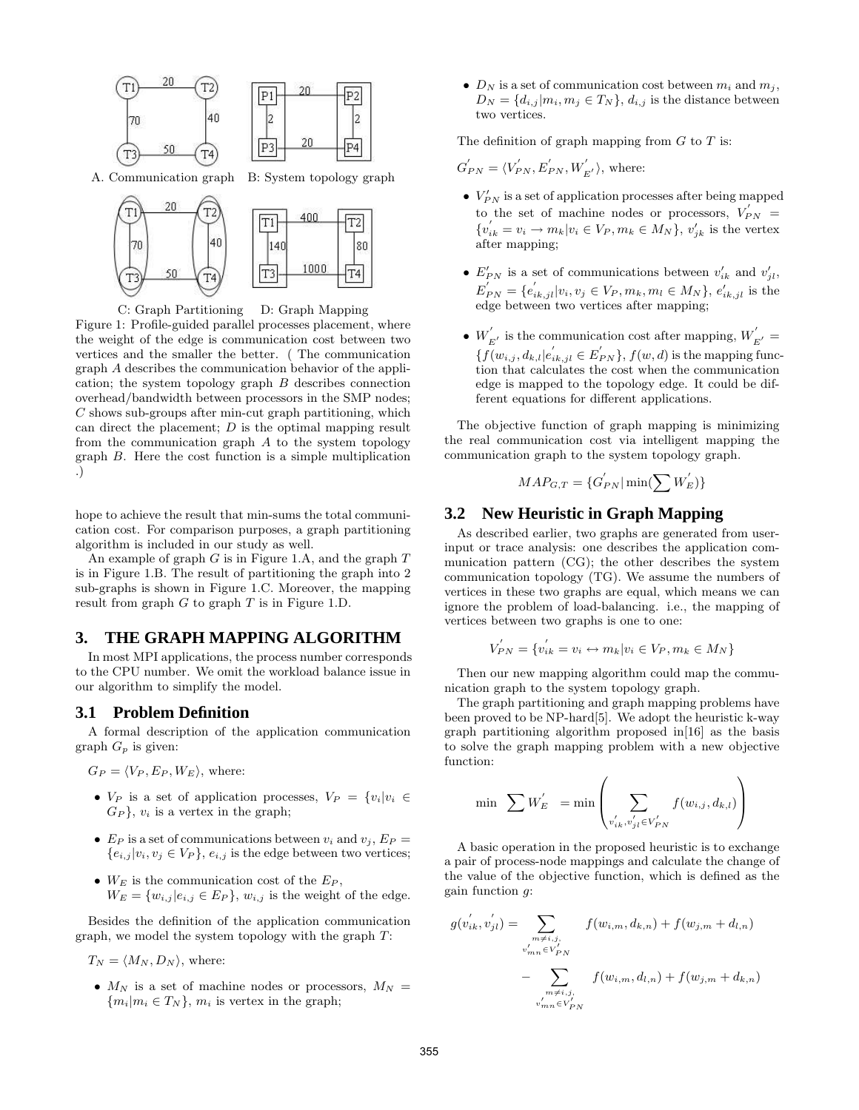

A. Communication graph B: System topology graph



C: Graph Partitioning D: Graph Mapping Figure 1: Profile-guided parallel processes placement, where the weight of the edge is communication cost between two vertices and the smaller the better. ( The communication graph A describes the communication behavior of the application; the system topology graph B describes connection overhead/bandwidth between processors in the SMP nodes; C shows sub-groups after min-cut graph partitioning, which can direct the placement;  $D$  is the optimal mapping result from the communication graph  $A$  to the system topology graph B. Here the cost function is a simple multiplication .)

hope to achieve the result that min-sums the total communication cost. For comparison purposes, a graph partitioning algorithm is included in our study as well.

An example of graph  $G$  is in Figure 1.A, and the graph  $T$ is in Figure 1.B. The result of partitioning the graph into 2 sub-graphs is shown in Figure 1.C. Moreover, the mapping result from graph  $G$  to graph  $T$  is in Figure 1.D.

### **3. THE GRAPH MAPPING ALGORITHM**

In most MPI applications, the process number corresponds to the CPU number. We omit the workload balance issue in our algorithm to simplify the model.

#### **3.1 Problem Definition**

A formal description of the application communication graph  $G_p$  is given:

 $G_P = \langle V_P , E_P , W_E \rangle$ , where:

- $V_P$  is a set of application processes,  $V_P = \{v_i | v_i \in$  $G_P$ ,  $v_i$  is a vertex in the graph;
- $E_P$  is a set of communications between  $v_i$  and  $v_j$ ,  $E_P =$  ${e_{i,j} | v_i, v_j \in V_P}$ ,  $e_{i,j}$  is the edge between two vertices;
- $W_E$  is the communication cost of the  $E_P$ ,  $W_E = \{w_{i,j} | e_{i,j} \in E_P \}, w_{i,j}$  is the weight of the edge.

Besides the definition of the application communication graph, we model the system topology with the graph  $T$ :

 $T_N = \langle M_N , D_N \rangle$ , where:

•  $M_N$  is a set of machine nodes or processors,  $M_N =$  ${m_i|m_i \in T_N}, m_i$  is vertex in the graph;

•  $D_N$  is a set of communication cost between  $m_i$  and  $m_j$ ,  $D_N = \{d_{i,j} | m_i, m_j \in T_N\}, d_{i,j}$  is the distance between two vertices.

The definition of graph mapping from  $G$  to  $T$  is:

 $G_{PN}^{'}=\langle V_{PN}^{'},E_{PN}^{'},W_{p}^{'}\rangle$  $E'_{E'}\rangle$ , where:

- $V'_{PN}$  is a set of application processes after being mapped to the set of machine nodes or processors,  $V_{PN}$  =  ${v'_{ik} = v_i \rightarrow m_k | v_i \in V_P, m_k \in M_N}, v'_{jk}$  is the vertex after mapping;
- $E'_{PN}$  is a set of communications between  $v'_{ik}$  and  $v'_{jl}$ ,  $E'_{PN} = \{e'_{ik,jl}|v_i, v_j \in V_P, m_k, m_l \in M_N\}, e'_{ik,jl}$  is the edge between two vertices after mapping;
- $\bullet$   $W_{\iota}^{'}$  $_{E^{'}}^{\prime}$  is the communication cost after mapping,  $W_{I}^{'}$  $E' =$  $\{f(w_{i,j}, d_{k,l}|e'_{ik,jl} \in E'_{PN}\}, f(w, d) \text{ is the mapping func$ tion that calculates the cost when the communication edge is mapped to the topology edge. It could be different equations for different applications.

The objective function of graph mapping is minimizing the real communication cost via intelligent mapping the communication graph to the system topology graph.

$$
MAP_{G,T} = \{G'_{PN} | \min(\sum W'_E)\}
$$

#### **3.2 New Heuristic in Graph Mapping**

As described earlier, two graphs are generated from userinput or trace analysis: one describes the application communication pattern (CG); the other describes the system communication topology (TG). We assume the numbers of vertices in these two graphs are equal, which means we can ignore the problem of load-balancing. i.e., the mapping of vertices between two graphs is one to one:

$$
V'_{PN} = \{v'_{ik} = v_i \leftrightarrow m_k | v_i \in V_P, m_k \in M_N\}
$$

Then our new mapping algorithm could map the communication graph to the system topology graph.

The graph partitioning and graph mapping problems have been proved to be NP-hard[5]. We adopt the heuristic k-way graph partitioning algorithm proposed in  $[16]$  as the basis to solve the graph mapping problem with a new objective function:

$$
\min \sum W_{E}^{'} = \min \left( \sum_{v_{ik}^{'}, v_{jl}^{'} \in V_{PN}^{'}} f(w_{i,j}, d_{k,l}) \right)
$$

A basic operation in the proposed heuristic is to exchange a pair of process-node mappings and calculate the change of the value of the objective function, which is defined as the gain function  $q$ :

$$
g(v_{ik}', v_{jl}') = \sum_{\substack{m \neq i, j, \\ v'_{mn} \in V'_{PN}}} f(w_{i,m}, d_{k,n}) + f(w_{j,m} + d_{l,n})
$$

$$
- \sum_{\substack{m \neq i, j, \\ v'_{mn} \in V'_{PN}}} f(w_{i,m}, d_{l,n}) + f(w_{j,m} + d_{k,n})
$$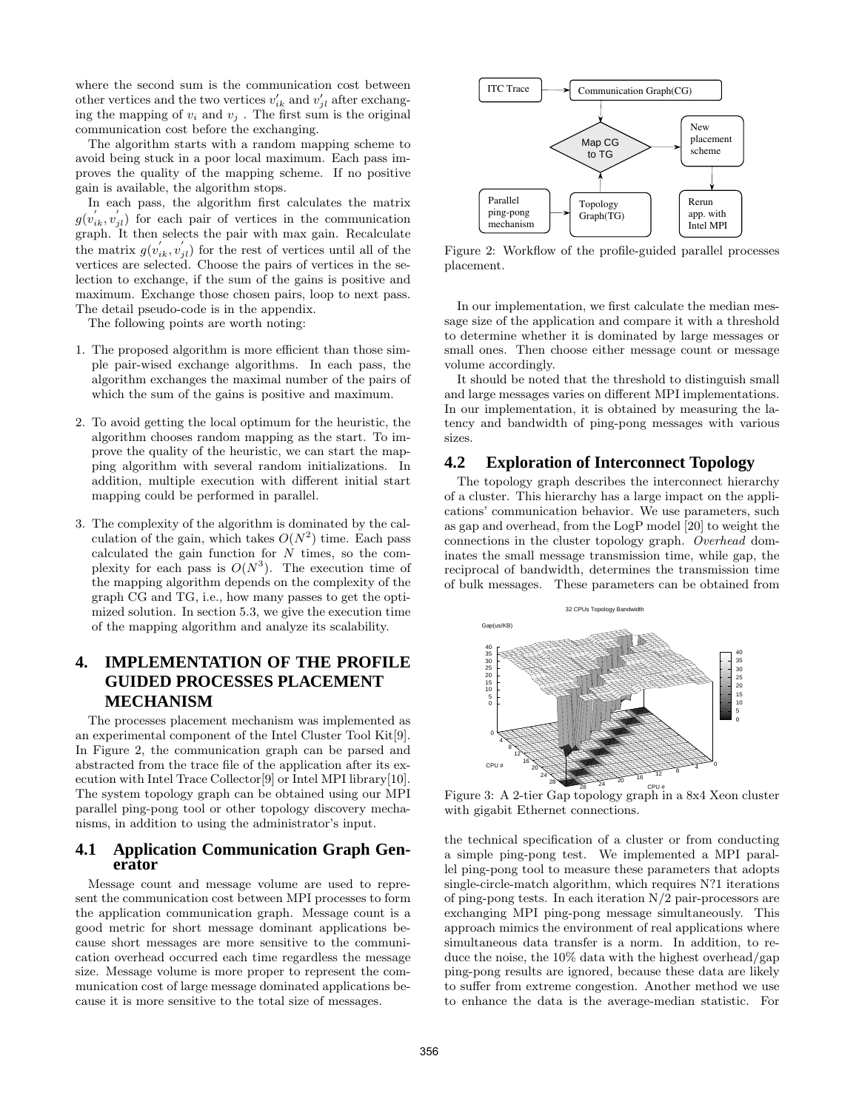where the second sum is the communication cost between other vertices and the two vertices  $v'_{ik}$  and  $v'_{jl}$  after exchanging the mapping of  $v_i$  and  $v_j$ . The first sum is the original  $\frac{1}{2}$  communication cost before the exchanging.

The algorithm starts with a random mapping scheme to avoid being stuck in a poor local maximum. Each pass improves the quality of the mapping scheme. If no positive gain is available, the algorithm stops. cho mupping seneme. If no positive

In is available, the algorithm stops.<br>In each pass, the algorithm first calculates the matrix  $g(v'_{ik}, v'_{jl})$  for each pair of vertices in the communication graph. It then selects the pair with max gain. Recalculate the matrix  $g(v'_{ik}, v'_{jl})$  for the rest of vertices until all of the vertices are selected. Choose the pairs of vertices in the selection to exchange, if the sum of the gains is positive and maximum. Exchange those chosen pairs, loop to next pass. The detail pseudo-code is in the appendix.

The following points are worth noting:

- 1. The proposed algorithm is more efficient than those simple pair-wised exchange algorithms. In each pass, the algorithm exchanges the maximal number of the pairs of which the sum of the gains is positive and maximum.
- 2. To avoid getting the local optimum for the heuristic, the algorithm chooses random mapping as the start. To improve the quality of the heuristic, we can start the mapping algorithm with several random initializations. In addition, multiple execution with different initial start mapping could be performed in parallel.
- 3. The complexity of the algorithm is dominated by the calculation of the gain, which takes  $O(N^2)$  time. Each pass calculated the gain function for  $N$  times, so the complexity for each pass is  $O(N^3)$ . The execution time of the mapping algorithm depends on the complexity of the graph CG and TG, i.e., how many passes to get the optimized solution. In section 5.3, we give the execution time of the mapping algorithm and analyze its scalability.

# **4. IMPLEMENTATION OF THE PROFILE GUIDED PROCESSES PLACEMENT MECHANISM**

The processes placement mechanism was implemented as an experimental component of the Intel Cluster Tool Kit[9]. In Figure 2, the communication graph can be parsed and abstracted from the trace file of the application after its execution with Intel Trace Collector[9] or Intel MPI library[10]. The system topology graph can be obtained using our MPI parallel ping-pong tool or other topology discovery mechanisms, in addition to using the administrator's input.

#### **4.1 Application Communication Graph Generator**

Message count and message volume are used to represent the communication cost between MPI processes to form the application communication graph. Message count is a good metric for short message dominant applications because short messages are more sensitive to the communication overhead occurred each time regardless the message size. Message volume is more proper to represent the communication cost of large message dominated applications because it is more sensitive to the total size of messages.



Figure 2: Workflow of the profile-guided parallel processes placement.

In our implementation, we first calculate the median message size of the application and compare it with a threshold to determine whether it is dominated by large messages or small ones. Then choose either message count or message volume accordingly.

It should be noted that the threshold to distinguish small and large messages varies on different MPI implementations. In our implementation, it is obtained by measuring the latency and bandwidth of ping-pong messages with various sizes.

## **4.2 Exploration of Interconnect Topology**

The topology graph describes the interconnect hierarchy of a cluster. This hierarchy has a large impact on the applications' communication behavior. We use parameters, such as gap and overhead, from the LogP model [20] to weight the connections in the cluster topology graph. Overhead dominates the small message transmission time, while gap, the reciprocal of bandwidth, determines the transmission time of bulk messages. These parameters can be obtained from



Figure 3: A 2-tier Gap topology graph in a 8x4 Xeon cluster with gigabit Ethernet connections.

the technical specification of a cluster or from conducting a simple ping-pong test. We implemented a MPI parallel ping-pong tool to measure these parameters that adopts single-circle-match algorithm, which requires N?1 iterations of ping-pong tests. In each iteration  $N/2$  pair-processors are exchanging MPI ping-pong message simultaneously. This approach mimics the environment of real applications where simultaneous data transfer is a norm. In addition, to reduce the noise, the 10% data with the highest overhead/gap ping-pong results are ignored, because these data are likely to suffer from extreme congestion. Another method we use to enhance the data is the average-median statistic. For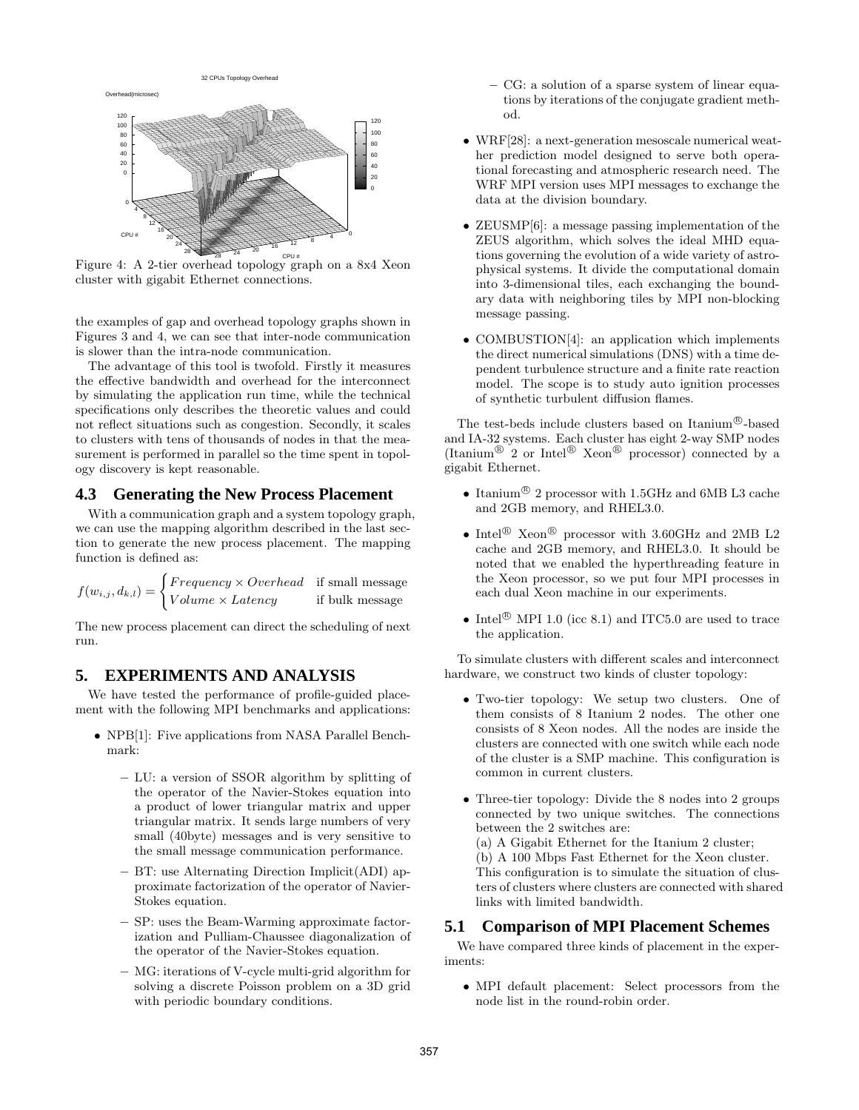

Figure 4: A 2-tier overhead topology graph on a 8x4 Xeon cluster with gigabit Ethernet connections.

the examples of gap and overhead topology graphs shown in Figures 3 and 4, we can see that inter-node communication is slower than the intra-node communication.

The advantage of this tool is twofold. Firstly it measures the effective bandwidth and overhead for the interconnect by simulating the application run time, while the technical specifications only describes the theoretic values and could not reflect situations such as congestion. Secondly, it scales to clusters with tens of thousands of nodes in that the measurement is performed in parallel so the time spent in topology discovery is kept reasonable.

### **4.3 Generating the New Process Placement**

With a communication graph and a system topology graph, we can use the mapping algorithm described in the last section to generate the new process placement. The mapping function is defined as:

$$
f(w_{i,j}, d_{k,l}) = \begin{cases} Frequency \times Overhead & \text{if small message} \\ Volume \times Latency & \text{if bulk message} \end{cases}
$$

The new process placement can direct the scheduling of next run.

#### **5. EXPERIMENTS AND ANALYSIS**

We have tested the performance of profile-guided placement with the following MPI benchmarks and applications:

- NPB[1]: Five applications from NASA Parallel Benchmark:
	- LU: a version of SSOR algorithm by splitting of the operator of the Navier-Stokes equation into a product of lower triangular matrix and upper triangular matrix. It sends large numbers of very small (40byte) messages and is very sensitive to the small message communication performance.
	- BT: use Alternating Direction Implicit(ADI) approximate factorization of the operator of Navier-Stokes equation.
	- SP: uses the Beam-Warming approximate factorization and Pulliam-Chaussee diagonalization of the operator of the Navier-Stokes equation.
	- MG: iterations of V-cycle multi-grid algorithm for solving a discrete Poisson problem on a 3D grid with periodic boundary conditions.
- CG: a solution of a sparse system of linear equations by iterations of the conjugate gradient method.
- WRF[28]: a next-generation mesoscale numerical weather prediction model designed to serve both operational forecasting and atmospheric research need. The WRF MPI version uses MPI messages to exchange the data at the division boundary.
- ZEUSMP[6]: a message passing implementation of the ZEUS algorithm, which solves the ideal MHD equations governing the evolution of a wide variety of astrophysical systems. It divide the computational domain into 3-dimensional tiles, each exchanging the boundary data with neighboring tiles by MPI non-blocking message passing.
- COMBUSTION[4]: an application which implements the direct numerical simulations (DNS) with a time dependent turbulence structure and a finite rate reaction model. The scope is to study auto ignition processes of synthetic turbulent diffusion flames.

The test-beds include clusters based on Itanium<sup>®</sup>-based and IA-32 systems. Each cluster has eight 2-way SMP nodes (Itanium<sup>®</sup> 2 or Intel<sup>®</sup> Xeon<sup>®</sup> processor) connected by a gigabit Ethernet.

- Itanium<sup>®</sup> 2 processor with 1.5GHz and 6MB L3 cache and 2GB memory, and RHEL3.0.
- Intel<sup>®</sup> Xeon<sup>®</sup> processor with 3.60GHz and 2MB L2 cache and 2GB memory, and RHEL3.0. It should be noted that we enabled the hyperthreading feature in the Xeon processor, so we put four MPI processes in each dual Xeon machine in our experiments.
- $\bullet$  Intel<br>® MPI 1.0 (icc 8.1) and ITC5.0 are used to trace the application.

To simulate clusters with different scales and interconnect hardware, we construct two kinds of cluster topology:

- Two-tier topology: We setup two clusters. One of them consists of 8 Itanium 2 nodes. The other one consists of 8 Xeon nodes. All the nodes are inside the clusters are connected with one switch while each node of the cluster is a SMP machine. This configuration is common in current clusters.
- Three-tier topology: Divide the 8 nodes into 2 groups connected by two unique switches. The connections between the 2 switches are:

(a) A Gigabit Ethernet for the Itanium 2 cluster;

(b) A 100 Mbps Fast Ethernet for the Xeon cluster.

This configuration is to simulate the situation of clusters of clusters where clusters are connected with shared links with limited bandwidth.

#### **5.1 Comparison of MPI Placement Schemes**

We have compared three kinds of placement in the experiments:

• MPI default placement: Select processors from the node list in the round-robin order.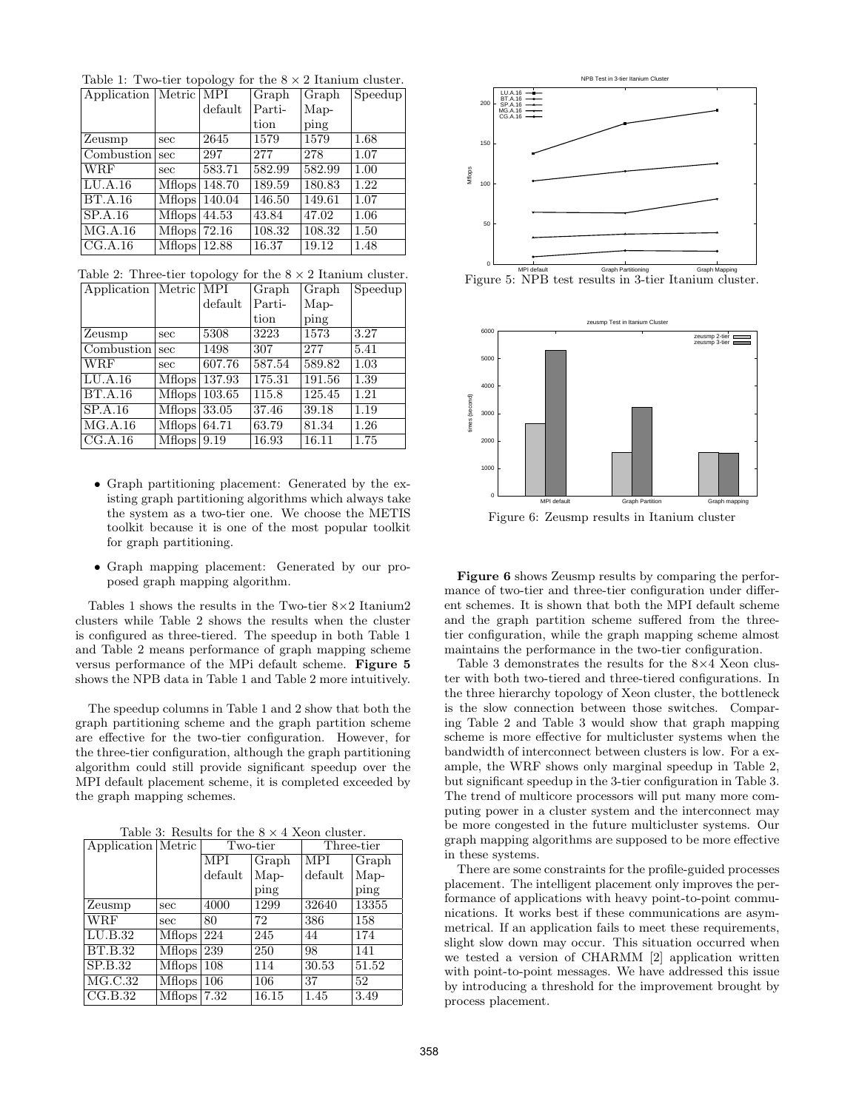| Application Metric MPI |                 |         | Graph  | Graph  | Speedup |
|------------------------|-----------------|---------|--------|--------|---------|
|                        |                 | default | Parti- | Map-   |         |
|                        |                 |         | tion   | ping   |         |
| Zeusmp                 | sec             | 2645    | 1579   | 1579   | 1.68    |
| Combustion             | sec             | 297     | 277    | 278    | 1.07    |
| <b>WRF</b>             | sec             | 583.71  | 582.99 | 582.99 | 1.00    |
| LU.A.16                | Mflops 148.70   |         | 189.59 | 180.83 | 1.22    |
| <b>BT.A.16</b>         | $Mflops$ 140.04 |         | 146.50 | 149.61 | 1.07    |
| SP.A.16                | $Mflops$ 44.53  |         | 43.84  | 47.02  | 1.06    |
| MG.A.16                | Mflops $ 72.16$ |         | 108.32 | 108.32 | 1.50    |
| CG.A.16                | $Mflops$ 12.88  |         | 16.37  | 19.12  | 1.48    |

Table 1: Two-tier topology for the  $8 \times 2$  Itanium cluster.

Table 2: Three-tier topology for the  $8 \times 2$  Itanium cluster.

| Application   Metric   MPI |                            |         | Graph  | Graph  | Speedup |
|----------------------------|----------------------------|---------|--------|--------|---------|
|                            |                            | default | Parti- | Map-   |         |
|                            |                            |         | tion   | ping   |         |
| Zeusmp                     | sec                        | 5308    | 3223   | 1573   | 3.27    |
| Combustion                 | sec                        | 1498    | 307    | 277    | 5.41    |
| <b>WRF</b>                 | sec                        | 607.76  | 587.54 | 589.82 | 1.03    |
| LU.A.16                    | $\overline{\text{Mflops}}$ | 137.93  | 175.31 | 191.56 | 1.39    |
| <b>BT.A.16</b>             | <b>M</b> flops             | 103.65  | 115.8  | 125.45 | 1.21    |
| SP.A.16                    | Mflops $33.05$             |         | 37.46  | 39.18  | 1.19    |
| MG.A.16                    | Mflops   64.71             |         | 63.79  | 81.34  | 1.26    |
| CG.A.16                    | Mflops                     | 9.19    | 16.93  | 16.11  | 1.75    |

- Graph partitioning placement: Generated by the existing graph partitioning algorithms which always take the system as a two-tier one. We choose the METIS toolkit because it is one of the most popular toolkit for graph partitioning.
- Graph mapping placement: Generated by our proposed graph mapping algorithm.

Tables 1 shows the results in the Two-tier  $8\times2$  Itanium2 clusters while Table 2 shows the results when the cluster is configured as three-tiered. The speedup in both Table 1 and Table 2 means performance of graph mapping scheme versus performance of the MPi default scheme. Figure 5 shows the NPB data in Table 1 and Table 2 more intuitively.

The speedup columns in Table 1 and 2 show that both the graph partitioning scheme and the graph partition scheme are effective for the two-tier configuration. However, for the three-tier configuration, although the graph partitioning algorithm could still provide significant speedup over the MPI default placement scheme, it is completed exceeded by the graph mapping schemes.

| Table 3: Results for the $8 \times 4$ Xeon cluster. |  |  |  |  |  |
|-----------------------------------------------------|--|--|--|--|--|
|                                                     |  |  |  |  |  |

| Application Metric |                | Two-tier |       | Three-tier |       |
|--------------------|----------------|----------|-------|------------|-------|
|                    |                | MPI      | Graph | <b>MPI</b> | Graph |
|                    |                | default  | Map-  | default    | Map-  |
|                    |                |          | ping  |            | ping  |
| Zeusmp             | sec            | 4000     | 1299  | 32640      | 13355 |
| <b>WRF</b>         | sec            | 80       | 72    | 386        | 158   |
| LU.B.32            | $Mflops$ 224   |          | 245   | 44         | 174   |
| <b>BT.B.32</b>     | <b>M</b> flops | 239      | 250   | 98         | 141   |
| SP.B.32            | Mflops         | 108      | 114   | 30.53      | 51.52 |
| MG.C.32            | $Mflops$ 106   |          | 106   | 37         | 52    |
| CG.B.32            | <b>Mflops</b>  | 7.32     | 16.15 | 1.45       | 3.49  |



Figure 5: NPB test results in 3-tier Itanium cluster.



Figure 6: Zeusmp results in Itanium cluster

Figure 6 shows Zeusmp results by comparing the performance of two-tier and three-tier configuration under different schemes. It is shown that both the MPI default scheme and the graph partition scheme suffered from the threetier configuration, while the graph mapping scheme almost maintains the performance in the two-tier configuration.

Table 3 demonstrates the results for the 8×4 Xeon cluster with both two-tiered and three-tiered configurations. In the three hierarchy topology of Xeon cluster, the bottleneck is the slow connection between those switches. Comparing Table 2 and Table 3 would show that graph mapping scheme is more effective for multicluster systems when the bandwidth of interconnect between clusters is low. For a example, the WRF shows only marginal speedup in Table 2, but significant speedup in the 3-tier configuration in Table 3. The trend of multicore processors will put many more computing power in a cluster system and the interconnect may be more congested in the future multicluster systems. Our graph mapping algorithms are supposed to be more effective in these systems.

There are some constraints for the profile-guided processes placement. The intelligent placement only improves the performance of applications with heavy point-to-point communications. It works best if these communications are asymmetrical. If an application fails to meet these requirements, slight slow down may occur. This situation occurred when we tested a version of CHARMM [2] application written with point-to-point messages. We have addressed this issue by introducing a threshold for the improvement brought by process placement.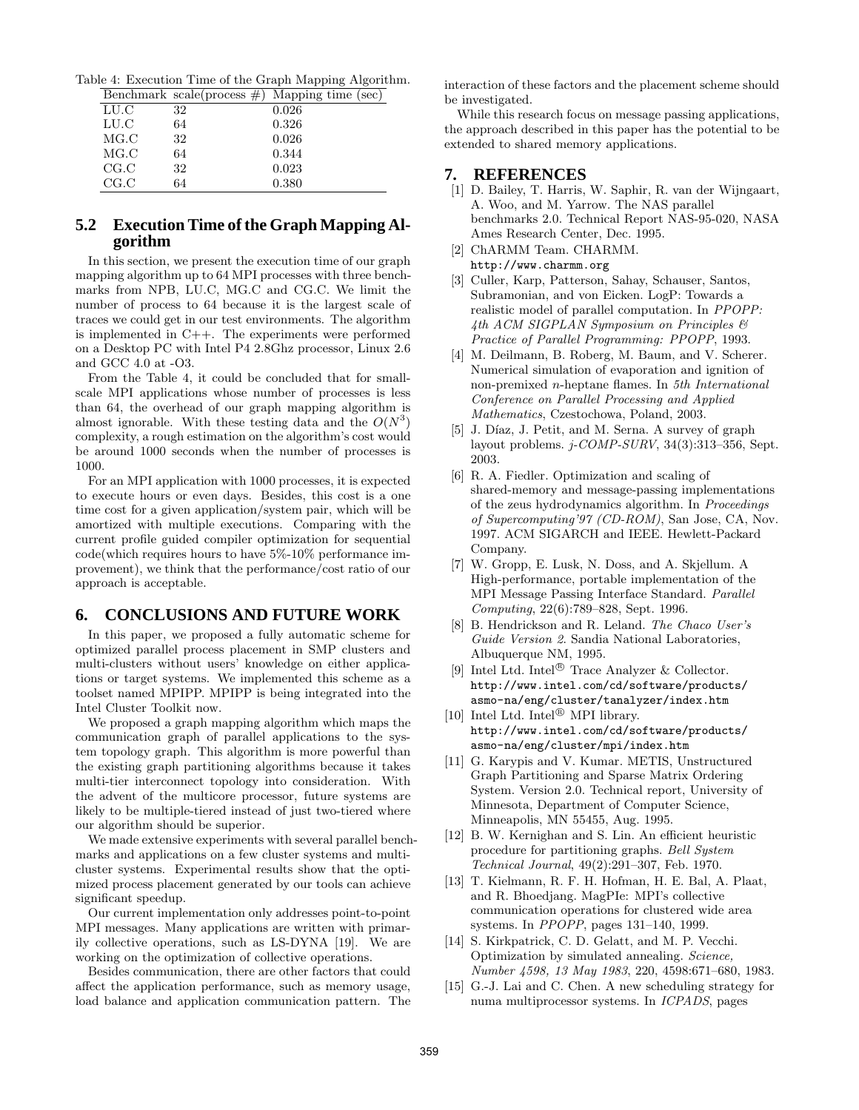Table 4: Execution Time of the Graph Mapping Algorithm.

|                  |    | Benchmark scale(process $#$ ) Mapping time (sec) |
|------------------|----|--------------------------------------------------|
| $_{\text{LU.C}}$ | 32 | 0.026                                            |
| LU.C             | 64 | 0.326                                            |
| MG.C             | 32 | 0.026                                            |
| MG.C             | 64 | 0.344                                            |
| CG.C             | 32 | 0.023                                            |
| CG.C             | 64 | 0.380                                            |

## **5.2 Execution Time of the Graph Mapping Algorithm**

In this section, we present the execution time of our graph mapping algorithm up to 64 MPI processes with three benchmarks from NPB, LU.C, MG.C and CG.C. We limit the number of process to 64 because it is the largest scale of traces we could get in our test environments. The algorithm is implemented in C++. The experiments were performed on a Desktop PC with Intel P4 2.8Ghz processor, Linux 2.6 and GCC 4.0 at -O3.

From the Table 4, it could be concluded that for smallscale MPI applications whose number of processes is less than 64, the overhead of our graph mapping algorithm is almost ignorable. With these testing data and the  $O(N^3)$ complexity, a rough estimation on the algorithm's cost would be around 1000 seconds when the number of processes is 1000.

For an MPI application with 1000 processes, it is expected to execute hours or even days. Besides, this cost is a one time cost for a given application/system pair, which will be amortized with multiple executions. Comparing with the current profile guided compiler optimization for sequential code(which requires hours to have 5%-10% performance improvement), we think that the performance/cost ratio of our approach is acceptable.

#### **6. CONCLUSIONS AND FUTURE WORK**

In this paper, we proposed a fully automatic scheme for optimized parallel process placement in SMP clusters and multi-clusters without users' knowledge on either applications or target systems. We implemented this scheme as a toolset named MPIPP. MPIPP is being integrated into the Intel Cluster Toolkit now.

We proposed a graph mapping algorithm which maps the communication graph of parallel applications to the system topology graph. This algorithm is more powerful than the existing graph partitioning algorithms because it takes multi-tier interconnect topology into consideration. With the advent of the multicore processor, future systems are likely to be multiple-tiered instead of just two-tiered where our algorithm should be superior.

We made extensive experiments with several parallel benchmarks and applications on a few cluster systems and multicluster systems. Experimental results show that the optimized process placement generated by our tools can achieve significant speedup.

Our current implementation only addresses point-to-point MPI messages. Many applications are written with primarily collective operations, such as LS-DYNA [19]. We are working on the optimization of collective operations.

Besides communication, there are other factors that could affect the application performance, such as memory usage, load balance and application communication pattern. The interaction of these factors and the placement scheme should be investigated.

While this research focus on message passing applications, the approach described in this paper has the potential to be extended to shared memory applications.

## **7. REFERENCES**

- [1] D. Bailey, T. Harris, W. Saphir, R. van der Wijngaart, A. Woo, and M. Yarrow. The NAS parallel benchmarks 2.0. Technical Report NAS-95-020, NASA Ames Research Center, Dec. 1995.
- [2] ChARMM Team. CHARMM. http://www.charmm.org
- [3] Culler, Karp, Patterson, Sahay, Schauser, Santos, Subramonian, and von Eicken. LogP: Towards a realistic model of parallel computation. In PPOPP: 4th ACM SIGPLAN Symposium on Principles & Practice of Parallel Programming: PPOPP, 1993.
- [4] M. Deilmann, B. Roberg, M. Baum, and V. Scherer. Numerical simulation of evaporation and ignition of non-premixed n-heptane flames. In 5th International Conference on Parallel Processing and Applied Mathematics, Czestochowa, Poland, 2003.
- [5] J. Díaz, J. Petit, and M. Serna. A survey of graph layout problems.  $j$ -COMP-SURV, 34(3):313-356, Sept. 2003.
- [6] R. A. Fiedler. Optimization and scaling of shared-memory and message-passing implementations of the zeus hydrodynamics algorithm. In Proceedings of Supercomputing'97 (CD-ROM), San Jose, CA, Nov. 1997. ACM SIGARCH and IEEE. Hewlett-Packard Company.
- [7] W. Gropp, E. Lusk, N. Doss, and A. Skjellum. A High-performance, portable implementation of the MPI Message Passing Interface Standard. Parallel Computing, 22(6):789–828, Sept. 1996.
- [8] B. Hendrickson and R. Leland. The Chaco User's Guide Version 2. Sandia National Laboratories, Albuquerque NM, 1995.
- [9] Intel Ltd. Intel<br>® Trace Analyzer  $\&$  Collector. http://www.intel.com/cd/software/products/ asmo-na/eng/cluster/tanalyzer/index.htm
- [10] Intel Ltd. Intel $^{\circledR}$  MPI library. http://www.intel.com/cd/software/products/ asmo-na/eng/cluster/mpi/index.htm
- [11] G. Karypis and V. Kumar. METIS, Unstructured Graph Partitioning and Sparse Matrix Ordering System. Version 2.0. Technical report, University of Minnesota, Department of Computer Science, Minneapolis, MN 55455, Aug. 1995.
- [12] B. W. Kernighan and S. Lin. An efficient heuristic procedure for partitioning graphs. Bell System Technical Journal, 49(2):291–307, Feb. 1970.
- [13] T. Kielmann, R. F. H. Hofman, H. E. Bal, A. Plaat, and R. Bhoedjang. MagPIe: MPI's collective communication operations for clustered wide area systems. In PPOPP, pages 131–140, 1999.
- [14] S. Kirkpatrick, C. D. Gelatt, and M. P. Vecchi. Optimization by simulated annealing. Science, Number 4598, 13 May 1983, 220, 4598:671–680, 1983.
- [15] G.-J. Lai and C. Chen. A new scheduling strategy for numa multiprocessor systems. In ICPADS, pages